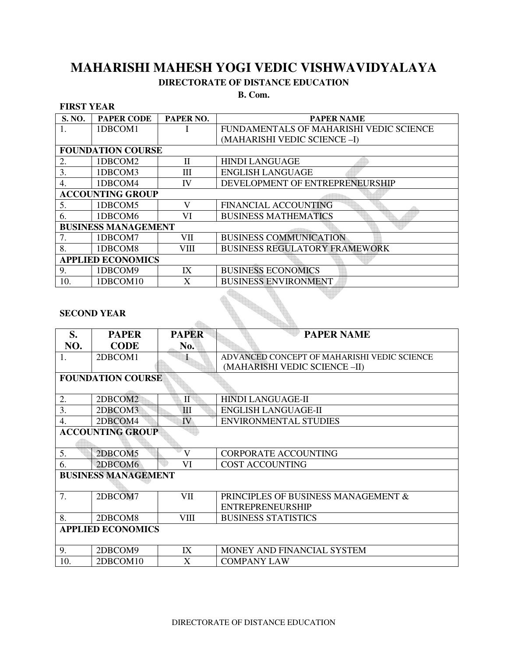## **MAHARISHI MAHESH YOGI VEDIC VISHWAVIDYALAYA**

## **DIRECTORATE OF DISTANCE EDUCATION**

**B. Com.** 

### **FIRST YEAR**

| S. NO.                     | <b>PAPER CODE</b> | PAPER NO.    | <b>PAPER NAME</b>                       |  |  |  |
|----------------------------|-------------------|--------------|-----------------------------------------|--|--|--|
|                            | 1DBCOM1           |              | FUNDAMENTALS OF MAHARISHI VEDIC SCIENCE |  |  |  |
|                            |                   |              | (MAHARISHI VEDIC SCIENCE-I)             |  |  |  |
| <b>FOUNDATION COURSE</b>   |                   |              |                                         |  |  |  |
| 2.                         | 1DBCOM2           | $\mathbf{H}$ | <b>HINDI LANGUAGE</b>                   |  |  |  |
| 3.                         | 1DBCOM3           | Ш            | <b>ENGLISH LANGUAGE</b>                 |  |  |  |
| 4.                         | 1DBCOM4           | IV           | DEVELOPMENT OF ENTREPRENEURSHIP         |  |  |  |
| <b>ACCOUNTING GROUP</b>    |                   |              |                                         |  |  |  |
| 5.                         | 1DBCOM5           | V            | <b>FINANCIAL ACCOUNTING</b>             |  |  |  |
| 6.                         | 1DBCOM6           | VI           | <b>BUSINESS MATHEMATICS</b>             |  |  |  |
| <b>BUSINESS MANAGEMENT</b> |                   |              |                                         |  |  |  |
| 7.                         | 1DBCOM7           | VII          | <b>BUSINESS COMMUNICATION</b>           |  |  |  |
| 8.                         | 1DBCOM8           | VIII         | <b>BUSINESS REGULATORY FRAMEWORK</b>    |  |  |  |
| <b>APPLIED ECONOMICS</b>   |                   |              |                                         |  |  |  |
| 9.                         | 1DBCOM9           | IX           | <b>BUSINESS ECONOMICS</b>               |  |  |  |
| 10.                        | 1DBCOM10          | X            | <b>BUSINESS ENVIRONMENT</b>             |  |  |  |

 $\triangle$ 

### **SECOND YEAR**

| S.                         | <b>PAPER</b> | <b>PAPER</b> | <b>PAPER NAME</b>                           |  |  |  |
|----------------------------|--------------|--------------|---------------------------------------------|--|--|--|
| NO.                        | <b>CODE</b>  | No.          |                                             |  |  |  |
| 1.                         | 2DBCOM1      |              | ADVANCED CONCEPT OF MAHARISHI VEDIC SCIENCE |  |  |  |
|                            |              |              | (MAHARISHI VEDIC SCIENCE-II)                |  |  |  |
| <b>FOUNDATION COURSE</b>   |              |              |                                             |  |  |  |
|                            |              |              |                                             |  |  |  |
| 2.                         | 2DBCOM2      | П            | <b>HINDI LANGUAGE-II</b>                    |  |  |  |
| 3.                         | 2DBCOM3      | III          | <b>ENGLISH LANGUAGE-II</b>                  |  |  |  |
| 4.                         | 2DBCOM4      | IV           | <b>ENVIRONMENTAL STUDIES</b>                |  |  |  |
| <b>ACCOUNTING GROUP</b>    |              |              |                                             |  |  |  |
|                            |              |              |                                             |  |  |  |
| 5.                         | 2DBCOM5      | V            | <b>CORPORATE ACCOUNTING</b>                 |  |  |  |
| 6.                         | 2DBCOM6      | VI           | <b>COST ACCOUNTING</b>                      |  |  |  |
| <b>BUSINESS MANAGEMENT</b> |              |              |                                             |  |  |  |
|                            |              |              |                                             |  |  |  |
| 7.                         | 2DBCOM7      | VII          | PRINCIPLES OF BUSINESS MANAGEMENT &         |  |  |  |
|                            |              |              | <b>ENTREPRENEURSHIP</b>                     |  |  |  |
| 8.                         | 2DBCOM8      | VIII         | <b>BUSINESS STATISTICS</b>                  |  |  |  |
| <b>APPLIED ECONOMICS</b>   |              |              |                                             |  |  |  |
|                            |              |              |                                             |  |  |  |
| 9.                         | 2DBCOM9      | IX           | MONEY AND FINANCIAL SYSTEM                  |  |  |  |
| 10.                        | 2DBCOM10     | X            | <b>COMPANY LAW</b>                          |  |  |  |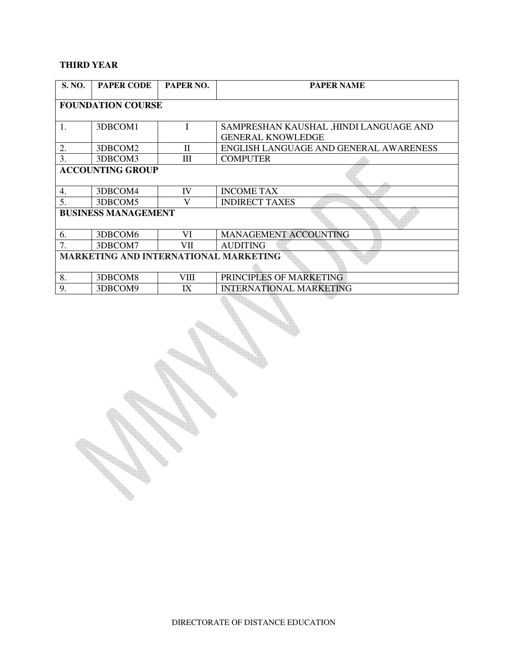## **THIRD YEAR**

 $\mathbb{Z}$ 

| <b>S. NO.</b>                                | <b>PAPER CODE</b> | PAPER NO. | <b>PAPER NAME</b>                                                  |  |  |  |
|----------------------------------------------|-------------------|-----------|--------------------------------------------------------------------|--|--|--|
| <b>FOUNDATION COURSE</b>                     |                   |           |                                                                    |  |  |  |
| 1.                                           | 3DBCOM1           | I         | SAMPRESHAN KAUSHAL ,HINDI LANGUAGE AND<br><b>GENERAL KNOWLEDGE</b> |  |  |  |
| 2.                                           | 3DBCOM2           | H         | ENGLISH LANGUAGE AND GENERAL AWARENESS                             |  |  |  |
| 3.                                           | 3DBCOM3           | Ш         | <b>COMPUTER</b>                                                    |  |  |  |
| <b>ACCOUNTING GROUP</b>                      |                   |           |                                                                    |  |  |  |
| 4.                                           | 3DBCOM4           | IV        | <b>INCOME TAX</b>                                                  |  |  |  |
| 5.                                           | 3DBCOM5           | V         | <b>INDIRECT TAXES</b>                                              |  |  |  |
| <b>BUSINESS MANAGEMENT</b>                   |                   |           |                                                                    |  |  |  |
| 6.                                           | 3DBCOM6           | VI        | <b>MANAGEMENT ACCOUNTING</b>                                       |  |  |  |
| 7.                                           | 3DBCOM7           | VII       | <b>AUDITING</b>                                                    |  |  |  |
| <b>MARKETING AND INTERNATIONAL MARKETING</b> |                   |           |                                                                    |  |  |  |
|                                              |                   |           |                                                                    |  |  |  |
| 8.                                           | 3DBCOM8           | VIII      | PRINCIPLES OF MARKETING                                            |  |  |  |
| 9.                                           | 3DBCOM9           | IX        | <b>INTERNATIONAL MARKETING</b>                                     |  |  |  |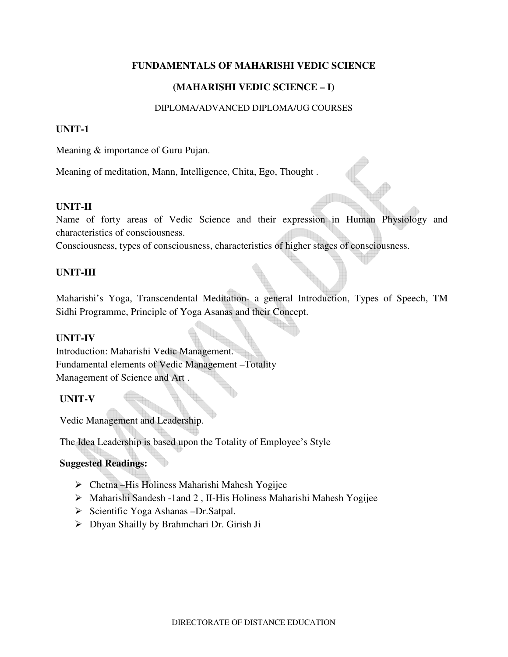## **FUNDAMENTALS OF MAHARISHI VEDIC SCIENCE**

## **(MAHARISHI VEDIC SCIENCE – I)**

### DIPLOMA/ADVANCED DIPLOMA/UG COURSES

### **UNIT-1**

Meaning & importance of Guru Pujan.

Meaning of meditation, Mann, Intelligence, Chita, Ego, Thought .

### **UNIT-II**

Name of forty areas of Vedic Science and their expression in Human Physiology and characteristics of consciousness.

Consciousness, types of consciousness, characteristics of higher stages of consciousness.

### **UNIT-III**

Maharishi's Yoga, Transcendental Meditation- a general Introduction, Types of Speech, TM Sidhi Programme, Principle of Yoga Asanas and their Concept.

#### **UNIT-IV**

Introduction: Maharishi Vedic Management. Fundamental elements of Vedic Management –Totality Management of Science and Art .

## **UNIT-V**

Vedic Management and Leadership.

The Idea Leadership is based upon the Totality of Employee's Style

## **Suggested Readings:**

- Chetna –His Holiness Maharishi Mahesh Yogijee
- Maharishi Sandesh -1and 2 , II-His Holiness Maharishi Mahesh Yogijee
- $\triangleright$  Scientific Yoga Ashanas –Dr.Satpal.
- Dhyan Shailly by Brahmchari Dr. Girish Ji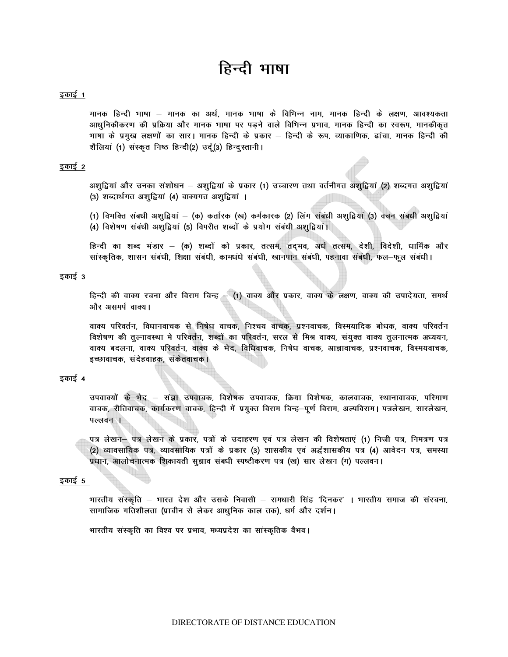# हिन्दी भाषा

#### इकाई 1

मानक हिन्दी भाषा — मानक का अर्थ, मानक भाषा के विभिन्न नाम, मानक हिन्दी के लक्षण, आवश्यकता आधुनिकीकरण की प्रक्रिया और मानक भाषा पर पडने वाले विभिन्न प्रभाव, मानक हिन्दी का स्वरूप, मानकीकृत भाषा के प्रमुख लक्षणों का सार। मानक हिन्दी के प्रकार – हिन्दी के रूप, व्याकाणिक, ढांचा, मानक हिन्दी की शैलियां (1) संस्कृत निष्ठ हिन्दी(2) उर्दू(3) हिन्दूस्तानी।

#### इकाई 2

अशुद्वियां और उनका संशोधन – अशुद्वियां के प्रकार (1) उच्चारण तथा वर्तनीगत अशुद्वियां (2) शब्दगत अशुद्वियां (3) शब्दार्थगत अशुद्वियां (4) वाक्यगत अशुद्वियां ।

(1) विभक्ति संबधी अशुद्वियां — (क) कर्तारक (ख) कर्मकारक (2) लिंग संबंधी अशुद्वियां (3) वचन संबधी अशुद्वियां (4) विशेषण संबंधी अशुद्वियां (5) विपरीत शब्दों के प्रयोग संबंधी अशुद्वियां।

हिन्दी का शब्द भंडार – (क) शब्दों को प्रकार, तत्सम, तद्भव, अर्ध तत्सम, देशी, विदेशी, धार्मिक और सांस्कृतिक, शासन संबंधी, शिक्षा संबंधी, कामधंधे संबंधी, खानपान संबंधी, पहनावा संबंधी, फल-फूल संबंधी।

#### इकाई 3

हिन्दी की वाक्य रचना और विराम चिन्ह - (1) वाक्य और प्रकार, वाक्य के लक्षण, वाक्य की उपादेयता, समर्थ और असमर्प वाक्य।

वाक्य परिवर्तन, विधानवाचक से निषेध वाचक, निश्चय वाचक, प्रश्नवाचक, विस्मयादिक बोधक, वाक्य परिवर्तन विशेषण की तुल्नावस्था मे परिवर्तन, शब्दों का परिवर्तन, सरल से मिश्र वाक्य, संयुक्त वाक्य तुलनात्मक अध्ययन, वाक्य बदलना, वाक्य परिवर्तन, वाक्य के भेद, विधिवाचक, निषेध वाचक, आज्ञावाचक, प्रश्नवाचक, विस्मयवाचक, इच्छावाचक, संदेहवाहक, संकेतवाचक।

#### इकाई 4

उपवाक्यों के मेद – संज्ञा उपवाचक, विशेषक उपवाचक, क्रिया विशेषक, कालवाचक, स्थानावाचक, परिमाण वाचक, रीतिवाचक, कार्यकरण वाचक, हिन्दी में प्रयुक्त विराम चिन्ह–पूर्ण विराम, अल्पविराम। पत्रलेखन, सारलेखन, पल्लवन ।

पत्र लेखन– पत्र लेखन के प्रकार, पत्रों के उदाहरण एवं पत्र लेखन की विशेषताएं (1) निजी पत्र, निमत्रण पत्र (2) व्यावसायिक पत्र, व्यावसायिक पत्रों के प्रकार (3) शासकीय एवं अर्द्धशासकीय पत्र (4) आवेदन पत्र, समस्या प्रधान, आलोचनात्मक शिकायती सुझाव संबधी स्पष्टीकरण पत्र (ख) सार लेखन (ग) पल्लवन।

#### इकाई 5

भारतीय संस्कृति – भारत देश और उसके निवासी – रामधारी सिंह 'दिनकर' । भारतीय समाज की संरचना, सामाजिक गतिशीलता (प्राचीन से लेकर आधुनिक काल तक), धर्म और दर्शन।

भारतीय संस्कृति का विश्व पर प्रभाव, मध्यप्रदेश का सांस्कृतिक वैभव।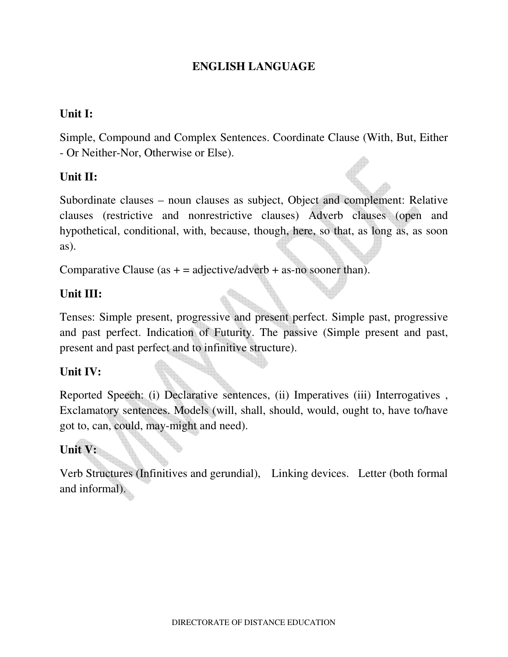## **ENGLISH LANGUAGE**

## **Unit I:**

Simple, Compound and Complex Sentences. Coordinate Clause (With, But, Either - Or Neither-Nor, Otherwise or Else).

## **Unit II:**

Subordinate clauses – noun clauses as subject, Object and complement: Relative clauses (restrictive and nonrestrictive clauses) Adverb clauses (open and hypothetical, conditional, with, because, though, here, so that, as long as, as soon as).

Comparative Clause (as  $+$  = adjective/adverb + as-no sooner than).

## **Unit III:**

Tenses: Simple present, progressive and present perfect. Simple past, progressive and past perfect. Indication of Futurity. The passive (Simple present and past, present and past perfect and to infinitive structure).

## **Unit IV:**

Reported Speech: (i) Declarative sentences, (ii) Imperatives (iii) Interrogatives , Exclamatory sentences. Models (will, shall, should, would, ought to, have to/have got to, can, could, may-might and need).

## **Unit V:**

Verb Structures (Infinitives and gerundial), Linking devices. Letter (both formal and informal).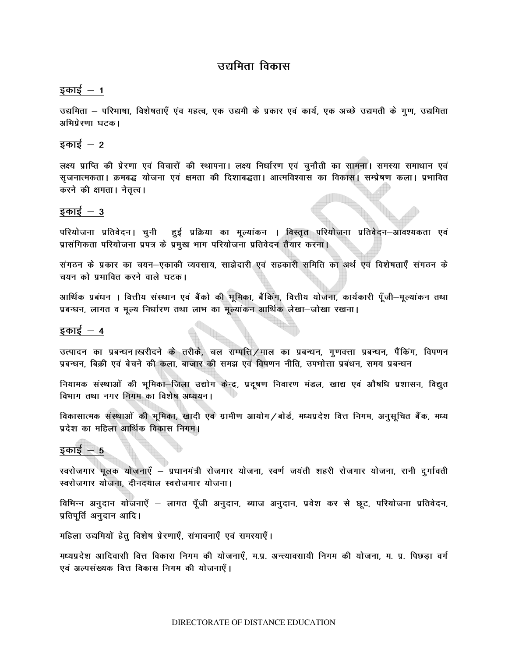## उद्यमिता विकास

## इकाई  $-1$

उद्यमिता – परिभाषा, विशेषताएँ एव महत्व, एक उद्यमी के प्रकार एवं कार्य, एक अच्छे उद्यमती के गुण, उद्यमिता अभिप्रेरणा घटक।

## इकाई  $-2$

लक्ष्य प्राप्ति की प्रेरणा एवं विचारों की स्थापना। लक्ष्य निर्धारण एवं चुनौती का सामना। समस्या समाधान एवं सृजनात्मकता। क्रमबद्ध योजना एवं क्षमता की दिशाबद्धता। आत्मविश्वास का विकास। सम्प्रेषण कला। प्रभावित करने की क्षमता। नेतृत्व।

## इकाई  $-3$

परियोजना प्रतिवेदन। चुनी हुई प्रक्रिया का मूल्यांकन । विस्तृत परियोजना प्रतिवेदन–आवश्यकता एवं प्रासंगिकता परियोजना प्रपत्र के प्रमुख भाग परियोजना प्रतिवेदन तैयार करना।

संगठन के प्रकार का चयन—एकाकी व्यवसाय, साझेदारी एवं सहकारी समिति का अर्थ एवं विशेषताएँ संगठन के चयन को प्रभावित करने वाले घटक।

आर्थिक प्रबंधन । वित्तीय संस्थान एवं बैंको की भूमिका, बैंकिंग, वित्तीय योजना, कार्यकारी पूँजी—मूल्यांकन तथा प्रबन्धन, लागत व मूल्य निर्धारण तथा लाभ का मूल्यांकन आर्थिक लेखा-जोखा रखना।

## इकाई  $-4$

उत्पादन का प्रबन्धन।खरीदने के तरीके, चल सम्पत्ति /माल का प्रबन्धन, गणवत्ता प्रबन्धन, पैंकिंग, विपणन प्रबन्धन, बिक्री एवं बेचने की कला, बाजार की समझ एवं विपणन नीति, उपभोत्ता प्रबंधन, समय प्रबन्धन

नियामक संस्थाओं की भूमिका-जिला उद्योग केन्द्र, प्रदूषण निवारण मंडल, खाद्य एवं औषधि प्रशासन, विद्युत विभाग तथा नगर निगम का विशेष अध्ययन।

विकासात्मक संस्थाओं की भूमिका, खादी एवं ग्रामीण आयोग / बोर्ड, मध्यप्रदेश वित्त निगम, अनुसूचित बैंक, मध्य प्रदेश का महिला आर्थिक विकास निगम।

## इकाई  $-5$

स्वरोजगार मुलक योजनाएँ – प्रधानमंत्री रोजगार योजना, स्वर्ण जयंती शहरी रोजगार योजना, रानी दुर्गावती स्वरोजगार योजना, दीनदयाल स्वरोजगार योजना।

विभिन्न अनुदान योजनाएँ – लागत पूँजी अनुदान, ब्याज अनुदान, प्रवेश कर से छूट, परियोजना प्रतिवेदन, प्रतिपूर्ति अनुदान आदि।

महिला उद्यमियों हेत् विशेष प्रेरणाएँ, सभावनाएँ एवं समस्याएँ।

मध्यप्रदेश आदिवासी वित्त विकास निगम की योजनाएँ, म.प्र. अन्त्यावसायी निगम की योजना, म. प्र. पिछड़ा वर्ग एवं अल्पसंख्यक वित्त विकास निगम की योजनाएँ।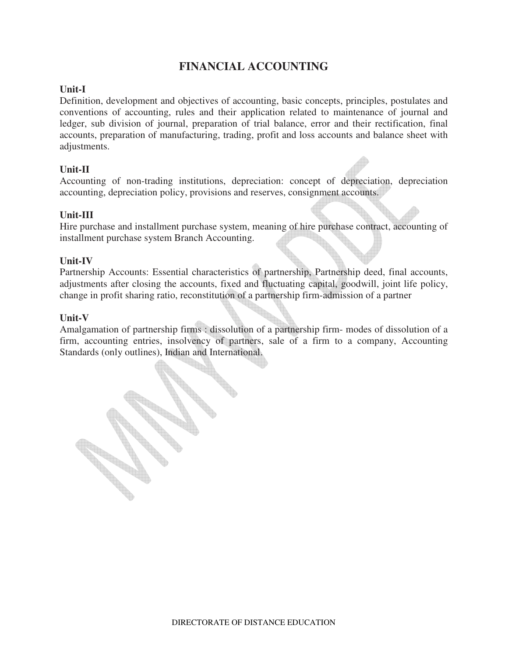## **FINANCIAL ACCOUNTING**

## **Unit-I**

Definition, development and objectives of accounting, basic concepts, principles, postulates and conventions of accounting, rules and their application related to maintenance of journal and ledger, sub division of journal, preparation of trial balance, error and their rectification, final accounts, preparation of manufacturing, trading, profit and loss accounts and balance sheet with adjustments.

## **Unit-II**

Accounting of non-trading institutions, depreciation: concept of depreciation, depreciation accounting, depreciation policy, provisions and reserves, consignment accounts.

## **Unit-III**

Hire purchase and installment purchase system, meaning of hire purchase contract, accounting of installment purchase system Branch Accounting.

## **Unit-IV**

Partnership Accounts: Essential characteristics of partnership, Partnership deed, final accounts, adjustments after closing the accounts, fixed and fluctuating capital, goodwill, joint life policy, change in profit sharing ratio, reconstitution of a partnership firm-admission of a partner

## **Unit-V**

Amalgamation of partnership firms : dissolution of a partnership firm- modes of dissolution of a firm, accounting entries, insolvency of partners, sale of a firm to a company, Accounting Standards (only outlines), Indian and International.

**CALL CONTROLLER**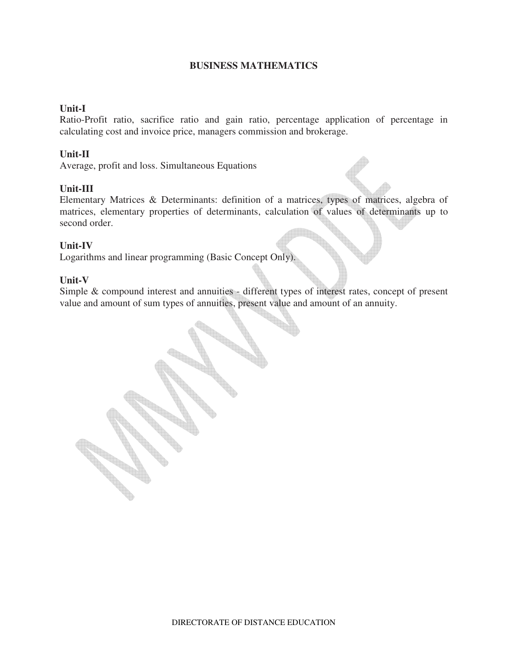## **BUSINESS MATHEMATICS**

### **Unit-I**

Ratio-Profit ratio, sacrifice ratio and gain ratio, percentage application of percentage in calculating cost and invoice price, managers commission and brokerage.

### **Unit-II**

Average, profit and loss. Simultaneous Equations

### **Unit-III**

Elementary Matrices & Determinants: definition of a matrices, types of matrices, algebra of matrices, elementary properties of determinants, calculation of values of determinants up to second order.

## **Unit-IV**

Logarithms and linear programming (Basic Concept Only).

### **Unit-V**

Simple & compound interest and annuities - different types of interest rates, concept of present value and amount of sum types of annuities, present value and amount of an annuity.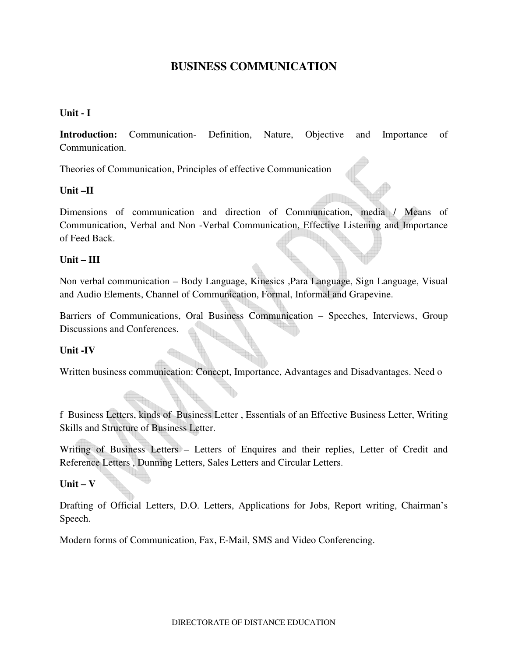## **BUSINESS COMMUNICATION**

## **Unit - I**

**Introduction:** Communication- Definition, Nature, Objective and Importance of Communication.

Theories of Communication, Principles of effective Communication

## **Unit –II**

Dimensions of communication and direction of Communication, media / Means of Communication, Verbal and Non -Verbal Communication, Effective Listening and Importance of Feed Back.

## **Unit – III**

Non verbal communication – Body Language, Kinesics ,Para Language, Sign Language, Visual and Audio Elements, Channel of Communication, Formal, Informal and Grapevine.

Barriers of Communications, Oral Business Communication – Speeches, Interviews, Group Discussions and Conferences.

## **Unit -IV**

Written business communication: Concept, Importance, Advantages and Disadvantages. Need o

f Business Letters, kinds of Business Letter , Essentials of an Effective Business Letter, Writing Skills and Structure of Business Letter.

Writing of Business Letters – Letters of Enquires and their replies, Letter of Credit and Reference Letters , Dunning Letters, Sales Letters and Circular Letters.

## **Unit – V**

Drafting of Official Letters, D.O. Letters, Applications for Jobs, Report writing, Chairman's Speech.

Modern forms of Communication, Fax, E-Mail, SMS and Video Conferencing.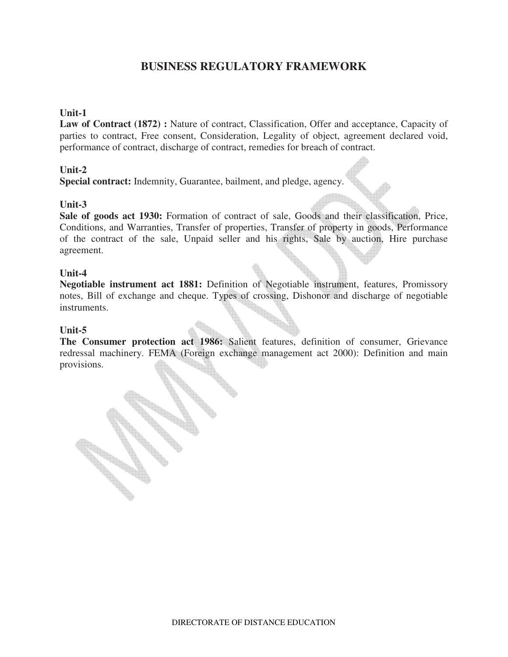## **BUSINESS REGULATORY FRAMEWORK**

### **Unit-1**

Law of Contract (1872) : Nature of contract, Classification, Offer and acceptance, Capacity of parties to contract, Free consent, Consideration, Legality of object, agreement declared void, performance of contract, discharge of contract, remedies for breach of contract.

### **Unit-2**

**Special contract:** Indemnity, Guarantee, bailment, and pledge, agency.

### **Unit-3**

**Sale of goods act 1930:** Formation of contract of sale, Goods and their classification, Price, Conditions, and Warranties, Transfer of properties, Transfer of property in goods, Performance of the contract of the sale, Unpaid seller and his rights, Sale by auction, Hire purchase agreement.

### **Unit-4**

**Negotiable instrument act 1881:** Definition of Negotiable instrument, features, Promissory notes, Bill of exchange and cheque. Types of crossing, Dishonor and discharge of negotiable instruments.

#### **Unit-5**

**The Consumer protection act 1986:** Salient features, definition of consumer, Grievance redressal machinery. FEMA (Foreign exchange management act 2000): Definition and main provisions.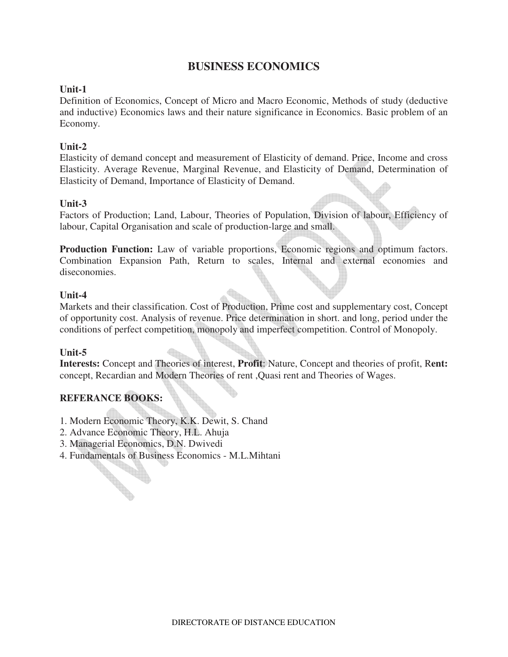## **BUSINESS ECONOMICS**

## **Unit-1**

Definition of Economics, Concept of Micro and Macro Economic, Methods of study (deductive and inductive) Economics laws and their nature significance in Economics. Basic problem of an Economy.

## **Unit-2**

Elasticity of demand concept and measurement of Elasticity of demand. Price, Income and cross Elasticity. Average Revenue, Marginal Revenue, and Elasticity of Demand, Determination of Elasticity of Demand, Importance of Elasticity of Demand.

## **Unit-3**

Factors of Production; Land, Labour, Theories of Population, Division of labour, Efficiency of labour, Capital Organisation and scale of production-large and small.

Production Function: Law of variable proportions, Economic regions and optimum factors. Combination Expansion Path, Return to scales, Internal and external economies and diseconomies.

## **Unit-4**

Markets and their classification. Cost of Production, Prime cost and supplementary cost, Concept of opportunity cost. Analysis of revenue. Price determination in short. and long, period under the conditions of perfect competition, monopoly and imperfect competition. Control of Monopoly.

## **Unit-5**

**Interests:** Concept and Theories of interest, **Profit**: Nature, Concept and theories of profit, R**ent:**  concept, Recardian and Modern Theories of rent ,Quasi rent and Theories of Wages.

## **REFERANCE BOOKS:**

- 1. Modern Economic Theory, K.K. Dewit, S. Chand
- 2. Advance Economic Theory, H.L. Ahuja
- 3. Managerial Economics, D.N. Dwivedi
- 4. Fundamentals of Business Economics M.L.Mihtani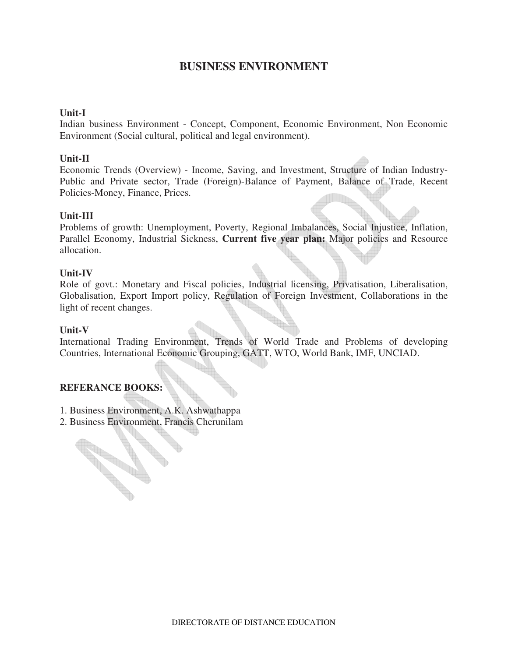## **BUSINESS ENVIRONMENT**

### **Unit-I**

Indian business Environment - Concept, Component, Economic Environment, Non Economic Environment (Social cultural, political and legal environment).

### **Unit-II**

Economic Trends (Overview) - Income, Saving, and Investment, Structure of Indian Industry-Public and Private sector, Trade (Foreign)-Balance of Payment, Balance of Trade, Recent Policies-Money, Finance, Prices.

### **Unit-III**

Problems of growth: Unemployment, Poverty, Regional Imbalances, Social Injustice, Inflation, Parallel Economy, Industrial Sickness, **Current five year plan:** Major policies and Resource allocation.

#### **Unit-IV**

Role of govt.: Monetary and Fiscal policies, Industrial licensing, Privatisation, Liberalisation, Globalisation, Export Import policy, Regulation of Foreign Investment, Collaborations in the light of recent changes.

#### **Unit-V**

International Trading Environment, Trends of World Trade and Problems of developing Countries, International Economic Grouping, GATT, WTO, World Bank, IMF, UNCIAD.

## **REFERANCE BOOKS:**

**Contractions** 

- 1. Business Environment, A.K. Ashwathappa
- 2. Business Environment, Francis Cherunilam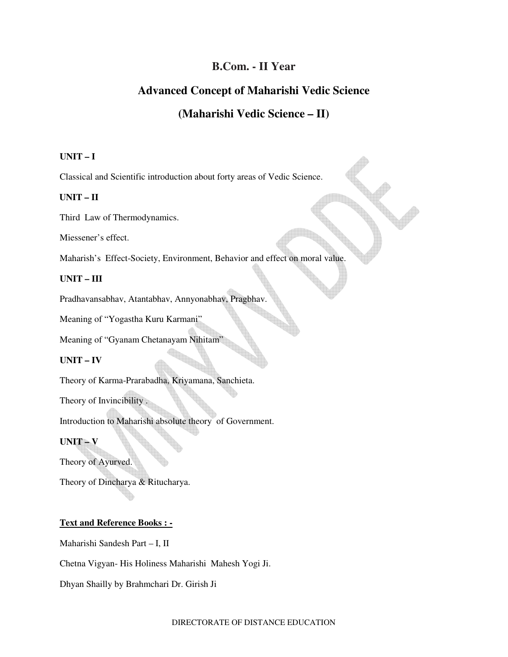## **B.Com. - II Year**

## **Advanced Concept of Maharishi Vedic Science**

## **(Maharishi Vedic Science – II)**

#### **UNIT – I**

Classical and Scientific introduction about forty areas of Vedic Science.

#### **UNIT – II**

Third Law of Thermodynamics.

Miessener's effect.

Maharish's Effect-Society, Environment, Behavior and effect on moral value.

#### **UNIT – III**

Pradhavansabhav, Atantabhav, Annyonabhav, Pragbhav.

Meaning of "Yogastha Kuru Karmani"

Meaning of "Gyanam Chetanayam Nihitam"

### **UNIT – IV**

Theory of Karma-Prarabadha, Kriyamana, Sanchieta.

Theory of Invincibility .

Introduction to Maharishi absolute theory of Government.

## **UNIT – V**

Theory of Ayurved.

Theory of Dincharya & Ritucharya.

### **Text and Reference Books : -**

Maharishi Sandesh Part – I, II

Chetna Vigyan- His Holiness Maharishi Mahesh Yogi Ji.

Dhyan Shailly by Brahmchari Dr. Girish Ji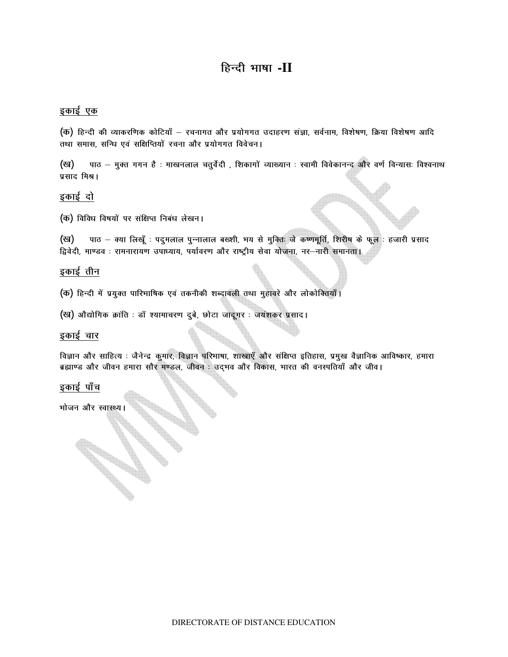## हिन्दी भाषा -II

#### इकाई एक

(क) हिन्दी की व्याकरणिक कोटियाँ – रचनागत और प्रयोगगत उदाहरण संज्ञा, सर्वनाम, विशेषण, क्रिया विशेषण आदि तथा समास, सन्धि एवं सक्षिप्तियों रचना और प्रयोगगत विवेचन।

(ख) पाठ – मुक्त गगन है : माखनलाल चतुर्वेदी , शिकागों व्याख्यान : स्वामी विवेकानन्द और वर्ण विन्यासः विश्वनाथ प्रसाद मिश्र।

## इकाई दो

(क) विविध विषयों पर संक्षिप्त निबंध लेखन।

(ख) पाठ - क्या लिखूँ : पदुमलाल पुन्नालाल बख्शी, भय से मुक्ति: जे कष्णमूर्ति, शिरीष के फूल : हजारी प्रसाद द्विवेदी, माण्डव : रामनारायण उपाध्याय, पर्यावरण और राष्ट्रीय सेवा योजना, नर-नारी समानता।

### इकाई तीन

(क) हिन्दी में प्रयुक्त पारिभाषिक एवं तकनीकी शब्दावली तथा मुहावरे और लोकोक्तियाँ।

(ख) औद्योगिक क्रांति : डॉ श्यामाचरण दुबे, छोटा जादूगर : जयंशकर प्रसाद।

#### इकाई चार

विज्ञान और साहित्य : जैनेन्द्र कुमार, विज्ञान परिभाषा, शाखाएँ और संक्षिप्त इतिहास, प्रमुख वैज्ञानिक आविष्कार, हमारा ब्रह्माण्ड और जीवन हमारा सौर मण्डल, जीवन : उद्भव और विकास, भारत की वनस्पतियाँ और जीव।

#### इकाई पाँच

भोजन और स्वास्थ्य।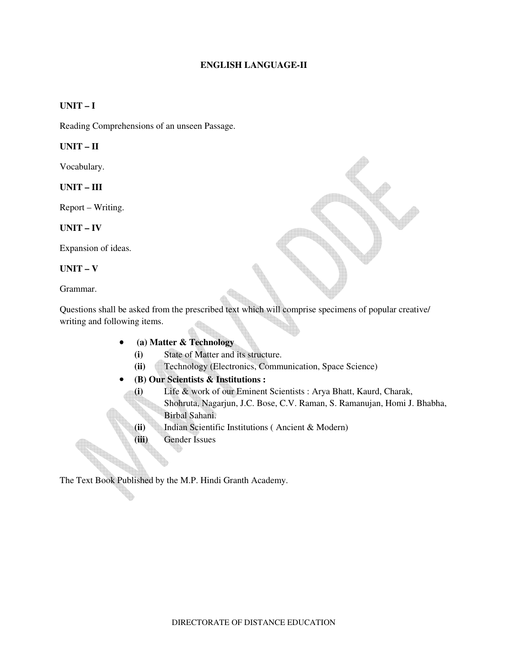#### **ENGLISH LANGUAGE-II**

## **UNIT – I**

Reading Comprehensions of an unseen Passage.

#### **UNIT – II**

Vocabulary.

**UNIT – III** 

Report – Writing.

#### **UNIT – IV**

Expansion of ideas.

#### **UNIT – V**

Grammar.

Questions shall be asked from the prescribed text which will comprise specimens of popular creative/ writing and following items.

- • **(a) Matter & Technology** 
	- **(i)** State of Matter and its structure.
	- **(ii)** Technology (Electronics, Communication, Space Science)
- **(B) Our Scientists & Institutions :** 
	- **(i)** Life & work of our Eminent Scientists : Arya Bhatt, Kaurd, Charak, Shohruta, Nagarjun, J.C. Bose, C.V. Raman, S. Ramanujan, Homi J. Bhabha, Birbal Sahani.
	- **(ii)** Indian Scientific Institutions ( Ancient & Modern)
	- **(iii)** Gender Issues

The Text Book Published by the M.P. Hindi Granth Academy.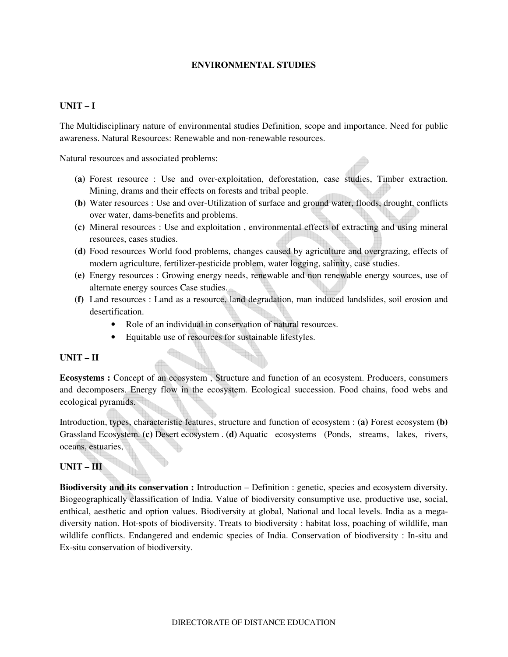### **ENVIRONMENTAL STUDIES**

### **UNIT – I**

The Multidisciplinary nature of environmental studies Definition, scope and importance. Need for public awareness. Natural Resources: Renewable and non-renewable resources.

Natural resources and associated problems:

- **(a)** Forest resource : Use and over-exploitation, deforestation, case studies, Timber extraction. Mining, drams and their effects on forests and tribal people.
- **(b)** Water resources : Use and over-Utilization of surface and ground water, floods, drought, conflicts over water, dams-benefits and problems.
- **(c)** Mineral resources : Use and exploitation , environmental effects of extracting and using mineral resources, cases studies.
- **(d)** Food resources World food problems, changes caused by agriculture and overgrazing, effects of modern agriculture, fertilizer-pesticide problem, water logging, salinity, case studies.
- **(e)** Energy resources : Growing energy needs, renewable and non renewable energy sources, use of alternate energy sources Case studies.
- **(f)** Land resources : Land as a resource, land degradation, man induced landslides, soil erosion and desertification.
	- Role of an individual in conservation of natural resources.
	- Equitable use of resources for sustainable lifestyles.

#### **UNIT – II**

**Ecosystems :** Concept of an ecosystem , Structure and function of an ecosystem. Producers, consumers and decomposers. Energy flow in the ecosystem. Ecological succession. Food chains, food webs and ecological pyramids.

Introduction, types, characteristic features, structure and function of ecosystem : **(a)** Forest ecosystem **(b)** Grassland Ecosystem. **(c)** Desert ecosystem . **(d)** Aquatic ecosystems (Ponds, streams, lakes, rivers, oceans, estuaries,

## **UNIT – III**

**Biodiversity and its conservation :** Introduction – Definition : genetic, species and ecosystem diversity. Biogeographically classification of India. Value of biodiversity consumptive use, productive use, social, enthical, aesthetic and option values. Biodiversity at global, National and local levels. India as a megadiversity nation. Hot-spots of biodiversity. Treats to biodiversity : habitat loss, poaching of wildlife, man wildlife conflicts. Endangered and endemic species of India. Conservation of biodiversity : In-situ and Ex-situ conservation of biodiversity.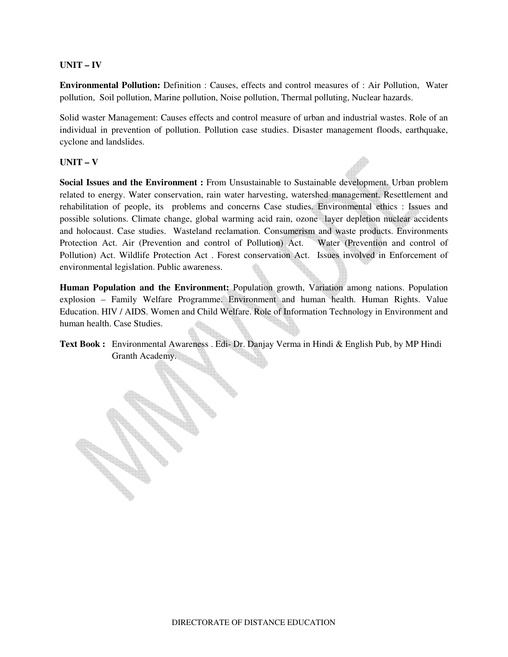#### **UNIT – IV**

**Environmental Pollution:** Definition : Causes, effects and control measures of : Air Pollution, Water pollution, Soil pollution, Marine pollution, Noise pollution, Thermal polluting, Nuclear hazards.

Solid waster Management: Causes effects and control measure of urban and industrial wastes. Role of an individual in prevention of pollution. Pollution case studies. Disaster management floods, earthquake, cyclone and landslides.

#### **UNIT – V**

Social Issues and the Environment : From Unsustainable to Sustainable development. Urban problem related to energy. Water conservation, rain water harvesting, watershed management. Resettlement and rehabilitation of people, its problems and concerns Case studies. Environmental ethics : Issues and possible solutions. Climate change, global warming acid rain, ozone layer depletion nuclear accidents and holocaust. Case studies. Wasteland reclamation. Consumerism and waste products. Environments Protection Act. Air (Prevention and control of Pollution) Act. Water (Prevention and control of Pollution) Act. Wildlife Protection Act . Forest conservation Act. Issues involved in Enforcement of environmental legislation. Public awareness.

**Human Population and the Environment:** Population growth, Variation among nations. Population explosion – Family Welfare Programme. Environment and human health. Human Rights. Value Education. HIV / AIDS. Women and Child Welfare. Role of Information Technology in Environment and human health. Case Studies.

**Text Book :** Environmental Awareness . Edi- Dr. Danjay Verma in Hindi & English Pub, by MP Hindi Granth Academy.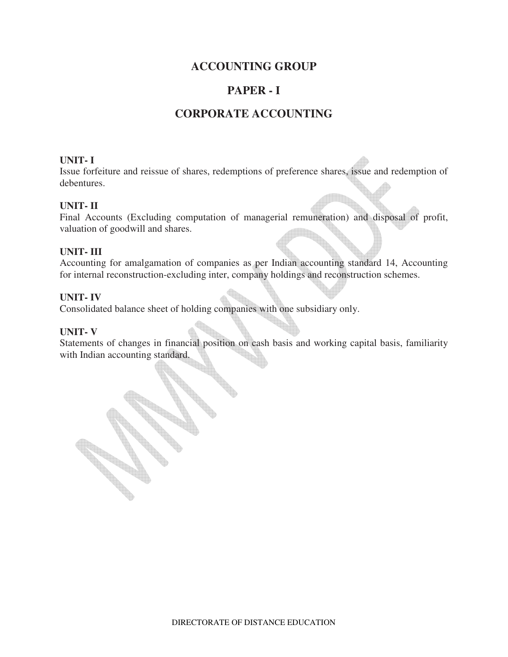## **ACCOUNTING GROUP**

## **PAPER - I**

## **CORPORATE ACCOUNTING**

### **UNIT- I**

Issue forfeiture and reissue of shares, redemptions of preference shares, issue and redemption of debentures.

## **UNIT- II**

Final Accounts (Excluding computation of managerial remuneration) and disposal of profit, valuation of goodwill and shares.

### **UNIT- III**

Accounting for amalgamation of companies as per Indian accounting standard 14, Accounting for internal reconstruction-excluding inter, company holdings and reconstruction schemes.

### **UNIT- IV**

Consolidated balance sheet of holding companies with one subsidiary only.

#### **UNIT- V**

Statements of changes in financial position on cash basis and working capital basis, familiarity with Indian accounting standard.

DIRECTORATE OF DISTANCE EDUCATION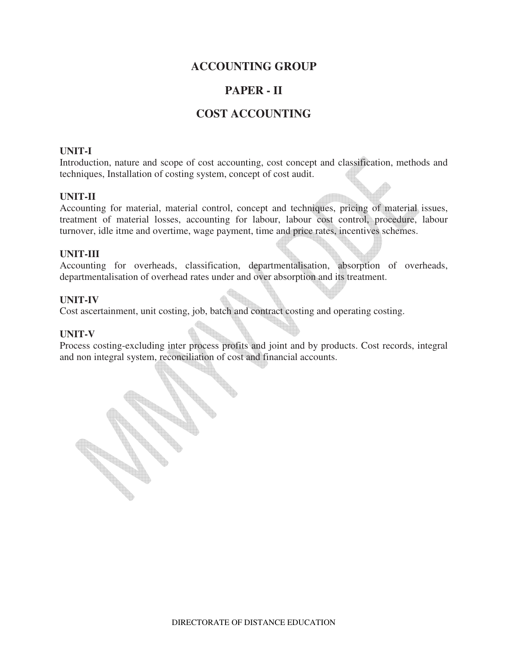## **ACCOUNTING GROUP**

## **PAPER - II**

## **COST ACCOUNTING**

### **UNIT-I**

Introduction, nature and scope of cost accounting, cost concept and classification, methods and techniques, Installation of costing system, concept of cost audit.

### **UNIT-II**

Accounting for material, material control, concept and techniques, pricing of material issues, treatment of material losses, accounting for labour, labour cost control, procedure, labour turnover, idle itme and overtime, wage payment, time and price rates, incentives schemes.

### **UNIT-III**

Accounting for overheads, classification, departmentalisation, absorption of overheads, departmentalisation of overhead rates under and over absorption and its treatment.

### **UNIT-IV**

Cost ascertainment, unit costing, job, batch and contract costing and operating costing.

#### **UNIT-V**

Process costing-excluding inter process profits and joint and by products. Cost records, integral and non integral system, reconciliation of cost and financial accounts.

**Road**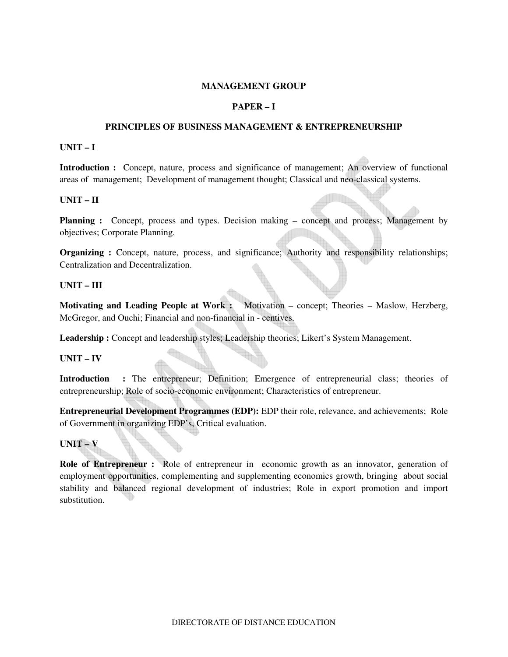#### **MANAGEMENT GROUP**

### **PAPER – I**

#### **PRINCIPLES OF BUSINESS MANAGEMENT & ENTREPRENEURSHIP**

#### **UNIT – I**

**Introduction :** Concept, nature, process and significance of management; An overview of functional areas of management; Development of management thought; Classical and neo-classical systems.

#### **UNIT – II**

**Planning :** Concept, process and types. Decision making – concept and process; Management by objectives; Corporate Planning.

**Organizing :** Concept, nature, process, and significance; Authority and responsibility relationships; Centralization and Decentralization.

#### **UNIT – III**

**Motivating and Leading People at Work :** Motivation – concept; Theories – Maslow, Herzberg, McGregor, and Ouchi; Financial and non-financial in - centives.

**Leadership :** Concept and leadership styles; Leadership theories; Likert's System Management.

### **UNIT – IV**

**Introduction :** The entrepreneur; Definition; Emergence of entrepreneurial class; theories of entrepreneurship; Role of socio-economic environment; Characteristics of entrepreneur.

**Entrepreneurial Development Programmes (EDP):** EDP their role, relevance, and achievements; Role of Government in organizing EDP's, Critical evaluation.

### **UNIT – V**

**Role of Entrepreneur :** Role of entrepreneur in economic growth as an innovator, generation of employment opportunities, complementing and supplementing economics growth, bringing about social stability and balanced regional development of industries; Role in export promotion and import substitution.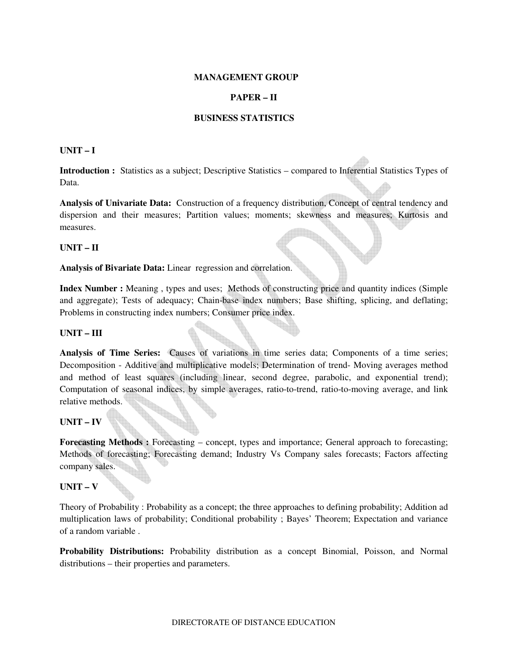#### **MANAGEMENT GROUP**

### **PAPER – II**

#### **BUSINESS STATISTICS**

#### **UNIT – I**

**Introduction :** Statistics as a subject; Descriptive Statistics – compared to Inferential Statistics Types of Data.

**Analysis of Univariate Data:** Construction of a frequency distribution, Concept of central tendency and dispersion and their measures; Partition values; moments; skewness and measures; Kurtosis and measures.

#### **UNIT – II**

#### **Analysis of Bivariate Data:** Linear regression and correlation.

**Index Number :** Meaning , types and uses; Methods of constructing price and quantity indices (Simple and aggregate); Tests of adequacy; Chain-base index numbers; Base shifting, splicing, and deflating; Problems in constructing index numbers; Consumer price index.

#### **UNIT – III**

**Analysis of Time Series:** Causes of variations in time series data; Components of a time series; Decomposition - Additive and multiplicative models; Determination of trend- Moving averages method and method of least squares (including linear, second degree, parabolic, and exponential trend); Computation of seasonal indices, by simple averages, ratio-to-trend, ratio-to-moving average, and link relative methods.

#### **UNIT – IV**

**Forecasting Methods :** Forecasting – concept, types and importance; General approach to forecasting; Methods of forecasting; Forecasting demand; Industry Vs Company sales forecasts; Factors affecting company sales.

#### **UNIT – V**

Theory of Probability : Probability as a concept; the three approaches to defining probability; Addition ad multiplication laws of probability; Conditional probability ; Bayes' Theorem; Expectation and variance of a random variable .

**Probability Distributions:** Probability distribution as a concept Binomial, Poisson, and Normal distributions – their properties and parameters.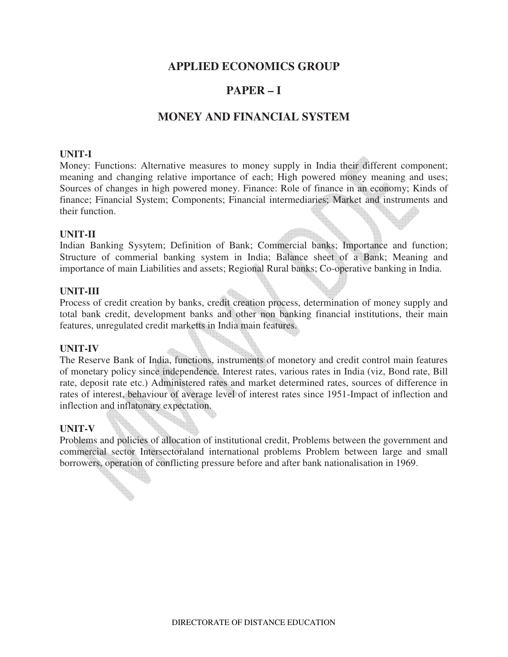## **APPLIED ECONOMICS GROUP**

## **PAPER – I**

## **MONEY AND FINANCIAL SYSTEM**

### **UNIT-I**

Money: Functions: Alternative measures to money supply in India their different component; meaning and changing relative importance of each; High powered money meaning and uses; Sources of changes in high powered money. Finance: Role of finance in an economy; Kinds of finance; Financial System; Components; Financial intermediaries; Market and instruments and their function.

### **UNIT-II**

Indian Banking Sysytem; Definition of Bank; Commercial banks; Importance and function; Structure of commerial banking system in India; Balance sheet of a Bank; Meaning and importance of main Liabilities and assets; Regional Rural banks; Co-operative banking in India.

#### **UNIT-III**

Process of credit creation by banks, credit creation process, determination of money supply and total bank credit, development banks and other non banking financial institutions, their main features, unregulated credit marketts in India main features.

#### **UNIT-IV**

The Reserve Bank of India, functions, instruments of monetory and credit control main features of monetary policy since independence. Interest rates, various rates in India (viz, Bond rate, Bill rate, deposit rate etc.) Administered rates and market determined rates, sources of difference in rates of interest, behaviour of average level of interest rates since 1951-Impact of inflection and inflection and inflatonary expectation.

#### **UNIT-V**

Problems and policies of allocation of institutional credit, Problems between the government and commercial sector Intersectoraland international problems Problem between large and small borrowers, operation of conflicting pressure before and after bank nationalisation in 1969.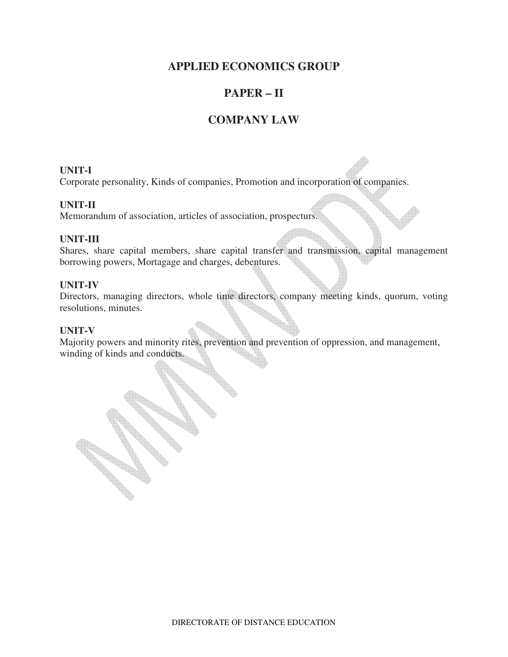## **APPLIED ECONOMICS GROUP**

## **PAPER – II**

## **COMPANY LAW**

## **UNIT-I**

Corporate personality, Kinds of companies, Promotion and incorporation of companies.

## **UNIT-II**

Memorandum of association, articles of association, prospecturs.

## **UNIT-III**

Shares, share capital members, share capital transfer and transmission, capital management borrowing powers, Mortagage and charges, debentures.

## **UNIT-IV**

Directors, managing directors, whole time directors, company meeting kinds, quorum, voting resolutions, minutes.

## **UNIT-V**

Majority powers and minority rites, prevention and prevention of oppression, and management, winding of kinds and conducts.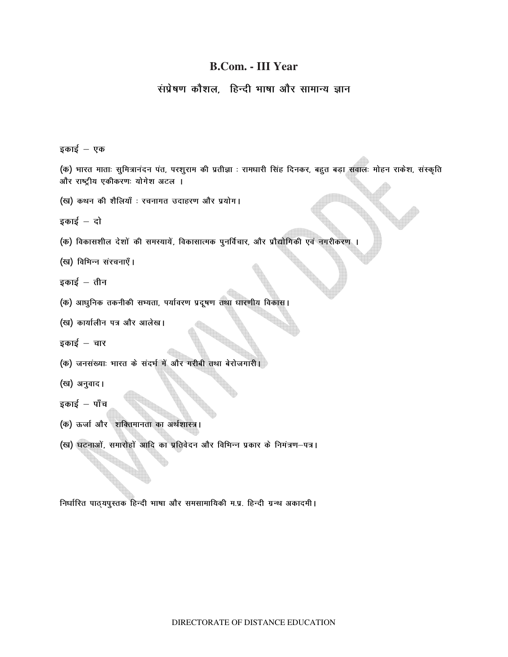## **B.Com. - III Year**

## संप्रेषण कौशल. हिन्दी भाषा और सामान्य ज्ञान

इकाई  $-$  एक

(क) भारत माताः सुमित्रानंदन पंत, परशुराम की प्रतीज्ञा : रामधारी सिंह दिनकर, बहुत बड़ा सवालः मोहन राकेश, संस्कृति और राष्ट्रीय एकीकरणः योगेश अटल ।

(ख) कथन की शैलियाँ : रचनागत उदाहरण और प्रयोग।

 $\frac{1}{5}$ काई – दो

(क) विकासशील देशों की समस्यायें, विकासात्मक पुनर्विचार, और प्रौद्योगिकी एवं नगरीकरण ।

(ख) विभिन्न संरचनाएँ।

इकाई  $-$  तीन

(क) आधुनिक तकनीकी सभ्यता, पर्यावरण प्रदूषण तथा धारणीय विकास।

(ख) कार्यालीन पत्र और आलेख।

 $\frac{1}{5}$ काई – चार

- (क) जनसंख्याः भारत के संदर्भ में और गरीबी तथा बेरोजगारी।
- (ख) अनुवाद।

इकाई  $-$  पाँच

- (क) ऊर्जा और शक्तिमानता का अर्थशास्त्र।
- (ख) घटनाओं, समारोहों आदि का प्रतिवेदन और विभिन्न प्रकार के निमंत्रण-पत्र।

**निर्धारित पाठ्**यपुस्तक हिन्दी भाषा और समसामायिकी म.प्र. हिन्दी ग्रन्थ अकादमी ।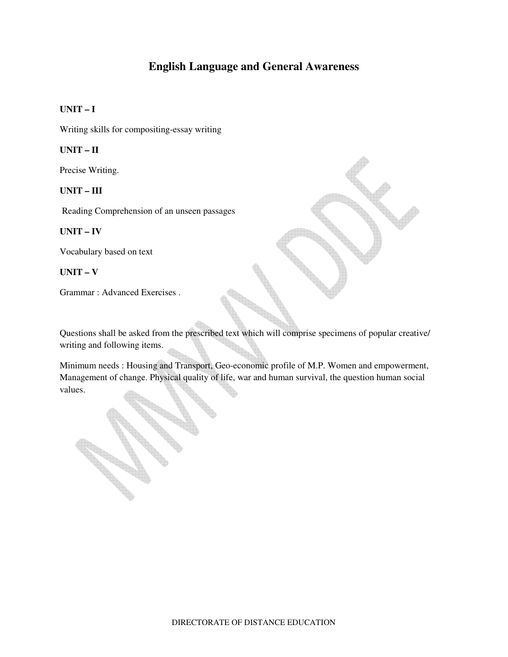## **English Language and General Awareness**

### **UNIT – I**

Writing skills for compositing-essay writing

#### **UNIT – II**

Precise Writing.

#### **UNIT – III**

Reading Comprehension of an unseen passages

#### **UNIT – IV**

Vocabulary based on text

#### **UNIT – V**

Grammar : Advanced Exercises .

Questions shall be asked from the prescribed text which will comprise specimens of popular creative/ writing and following items.

Minimum needs : Housing and Transport, Geo-economic profile of M.P. Women and empowerment, Management of change. Physical quality of life, war and human survival, the question human social values.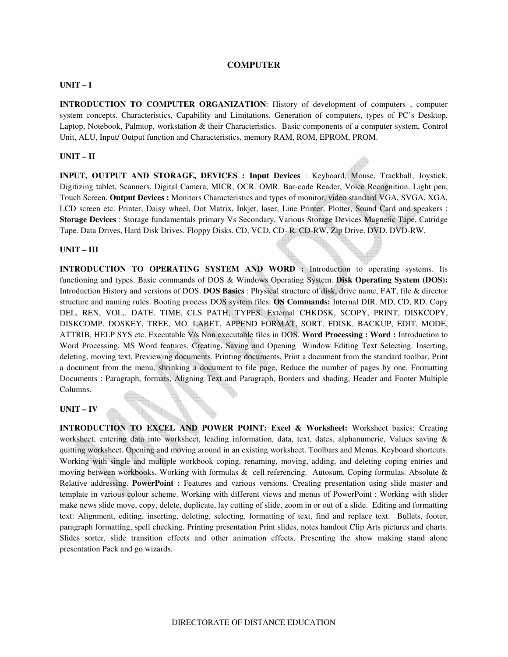#### **COMPUTER**

#### **UNIT – I**

**INTRODUCTION TO COMPUTER ORGANIZATION**: History of development of computers , computer system concepts. Characteristics, Capability and Limitations. Generation of computers, types of PC's Desktop, Laptop, Notebook, Palmtop, workstation & their Characteristics. Basic components of a computer system, Control Unit, ALU, Input/ Output function and Characteristics, memory RAM, ROM, EPROM, PROM.

#### **UNIT – II**

**INPUT, OUTPUT AND STORAGE, DEVICES : Input Devices** : Keyboard, Mouse, Trackball, Joystick, Digitizing tablet, Scanners. Digital Camera, MICR, OCR. OMR. Bar-code Reader, Voice Recognition, Light pen, Touch Screen. **Output Devices :** Monitors Characteristics and types of monitor, video standard VGA, SVGA, XGA, LCD screen etc. Printer, Daisy wheel, Dot Matrix, Inkjet, laser, Line Printer, Plotter, Sound Card and speakers : **Storage Devices** : Storage fundamentals primary Vs Secondary, Various Storage Devices Magnetic Tape, Catridge Tape. Data Drives, Hard Disk Drives. Floppy Disks. CD, VCD, CD- R. CD-RW, Zip Drive. DVD. DVD-RW.

#### **UNIT – III**

**INTRODUCTION TO OPERATING SYSTEM AND WORD :** Introduction to operating systems. Its functioning and types. Basic commands of DOS & Windows Operating System. **Disk Operating System (DOS):**  Introduction History and versions of DOS. **DOS Basics** : Physical structure of disk, drive name, FAT, file & director structure and naming rules. Booting process DOS system files. **OS Commands:** Internal DIR. MD, CD, RD. Copy DEL, REN, VOL,. DATE. TIME, CLS PATH, TYPES. External CHKDSK, SCOPY, PRINT, DISKCOPY, DISKCOMP. DOSKEY, TREE, MO. LABET, APPEND FORMAT, SORT, FDISK, BACKUP, EDIT, MODE, ATTRIB, HELP SYS etc. Executable V/s Non executable files in DOS. **Word Processing : Word :** Introduction to Word Processing. MS Word features, Creating, Saving and Opening Window Editing Text Selecting. Inserting, deleting, moving text. Previewing documents. Printing documents, Print a document from the standard toolbar, Print a document from the menu, shrinking a document to file page, Reduce the number of pages by one. Formatting Documents : Paragraph, formats, Aligning Text and Paragraph, Borders and shading, Header and Footer Multiple Columns.

#### **UNIT – IV**

**INTRODUCTION TO EXCEL AND POWER POINT: Excel & Worksheet:** Worksheet basics: Creating worksheet, entering data into worksheet, leading information, data, text, dates, alphanumeric, Values saving & quitting worksheet. Opening and moving around in an existing worksheet. Toolbars and Menus. Keyboard shortcuts. Working with single and multiple workbook coping, renaming, moving, adding, and deleting coping entries and moving between workbooks. Working with formulas & cell referencing. Autosum. Coping formulas. Absolute & Relative addressing. **PowerPoint :** Features and various versions. Creating presentation using slide master and template in various colour scheme. Working with different views and menus of PowerPoint : Working with slider make news slide move, copy, delete, duplicate, lay cutting of slide, zoom in or out of a slide. Editing and formatting text: Alignment, editing, inserting, deleting, selecting, formatting of text, find and replace text. Bullets, footer, paragraph formatting, spell checking. Printing presentation Print slides, notes handout Clip Arts pictures and charts. Slides sorter, slide transition effects and other animation effects. Presenting the show making stand alone presentation Pack and go wizards.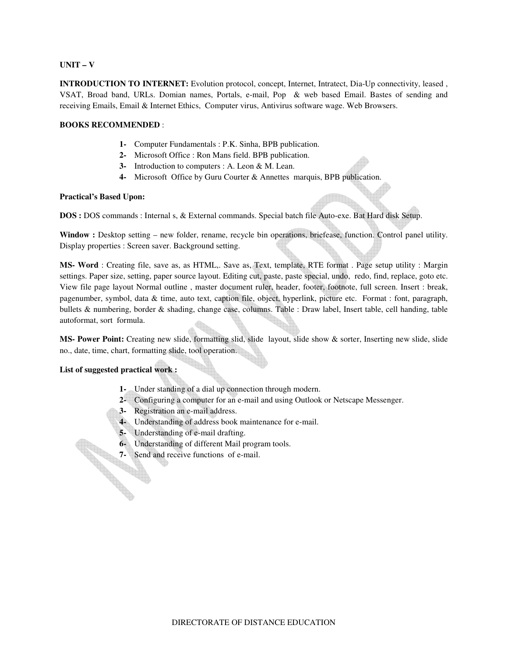#### **UNIT – V**

**INTRODUCTION TO INTERNET:** Evolution protocol, concept, Internet, Intratect, Dia-Up connectivity, leased , VSAT, Broad band, URLs. Domian names, Portals, e-mail, Pop & web based Email. Bastes of sending and receiving Emails, Email & Internet Ethics, Computer virus, Antivirus software wage. Web Browsers.

#### **BOOKS RECOMMENDED** :

- **1-** Computer Fundamentals : P.K. Sinha, BPB publication.
- **2-** Microsoft Office : Ron Mans field. BPB publication.
- **3-** Introduction to computers : A. Leon & M. Lean.
- **4-** Microsoft Office by Guru Courter & Annettes marquis, BPB publication.

#### **Practical's Based Upon:**

**DOS :** DOS commands : Internal s, & External commands. Special batch file Auto-exe. Bat Hard disk Setup.

Window : Desktop setting – new folder, rename, recycle bin operations, briefease, function. Control panel utility. Display properties : Screen saver. Background setting.

**MS- Word** : Creating file, save as, as HTML,. Save as, Text, template, RTE format . Page setup utility : Margin settings. Paper size, setting, paper source layout. Editing cut, paste, paste special, undo, redo, find, replace, goto etc. View file page layout Normal outline, master document ruler, header, footer, footnote, full screen. Insert : break, pagenumber, symbol, data & time, auto text, caption file, object, hyperlink, picture etc. Format : font, paragraph, bullets & numbering, border & shading, change case, columns. Table : Draw label, Insert table, cell handing, table autoformat, sort formula.

**MS- Power Point:** Creating new slide, formatting slid, slide layout, slide show & sorter, Inserting new slide, slide no., date, time, chart, formatting slide, tool operation.

#### **List of suggested practical work :**

- **1-** Under standing of a dial up connection through modern.
- **2-** Configuring a computer for an e-mail and using Outlook or Netscape Messenger.
- **3-** Registration an e-mail address.
- **4-** Understanding of address book maintenance for e-mail.
- **5-** Understanding of e-mail drafting.
- **6-** Understanding of different Mail program tools.<br>**7-** Send and receive functions of e-mail.
- **7-** Send and receive functions of e-mail.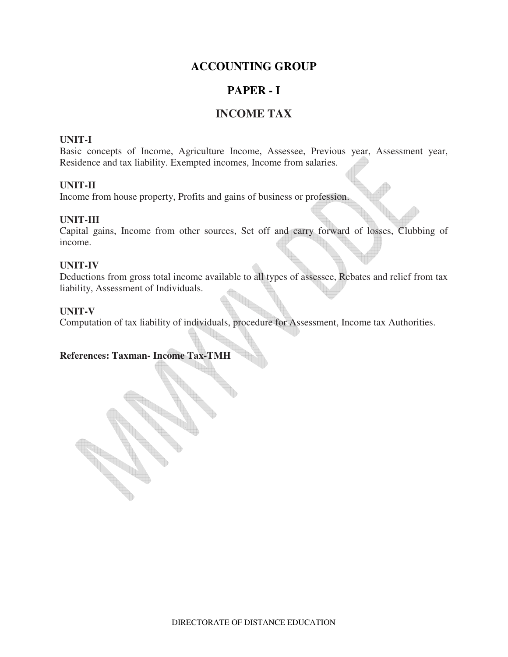## **ACCOUNTING GROUP**

## **PAPER - I**

## **INCOME TAX**

## **UNIT-I**

Basic concepts of Income, Agriculture Income, Assessee, Previous year, Assessment year, Residence and tax liability. Exempted incomes, Income from salaries.

## **UNIT-II**

Income from house property, Profits and gains of business or profession.

## **UNIT-III**

Capital gains, Income from other sources, Set off and carry forward of losses, Clubbing of income.

## **UNIT-IV**

Deductions from gross total income available to all types of assessee, Rebates and relief from tax liability, Assessment of Individuals.

## **UNIT-V**

Computation of tax liability of individuals, procedure for Assessment, Income tax Authorities.

## **References: Taxman- Income Tax-TMH**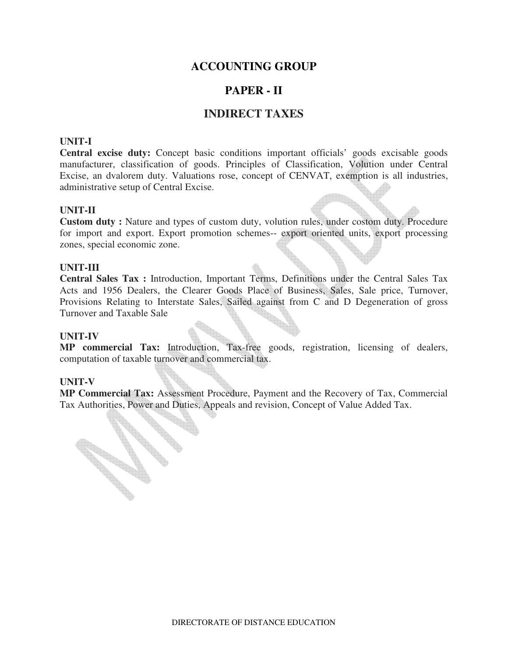## **ACCOUNTING GROUP**

## **PAPER - II**

## **INDIRECT TAXES**

## **UNIT-I**

**Central excise duty:** Concept basic conditions important officials' goods excisable goods manufacturer, classification of goods. Principles of Classification, Volution under Central Excise, an dvalorem duty. Valuations rose, concept of CENVAT, exemption is all industries, administrative setup of Central Excise.

#### **UNIT-II**

**Custom duty :** Nature and types of custom duty, volution rules, under costom duty. Procedure for import and export. Export promotion schemes-- export oriented units, export processing zones, special economic zone.

#### **UNIT-III**

**Central Sales Tax :** Introduction, Important Terms, Definitions under the Central Sales Tax Acts and 1956 Dealers, the Clearer Goods Place of Business, Sales, Sale price, Turnover, Provisions Relating to Interstate Sales, Sailed against from C and D Degeneration of gross Turnover and Taxable Sale

#### **UNIT-IV**

**MP commercial Tax:** Introduction, Tax-free goods, registration, licensing of dealers, computation of taxable turnover and commercial tax.

#### **UNIT-V**

**RADIO** 

**MP Commercial Tax:** Assessment Procedure, Payment and the Recovery of Tax, Commercial Tax Authorities, Power and Duties, Appeals and revision, Concept of Value Added Tax.

DIRECTORATE OF DISTANCE EDUCATION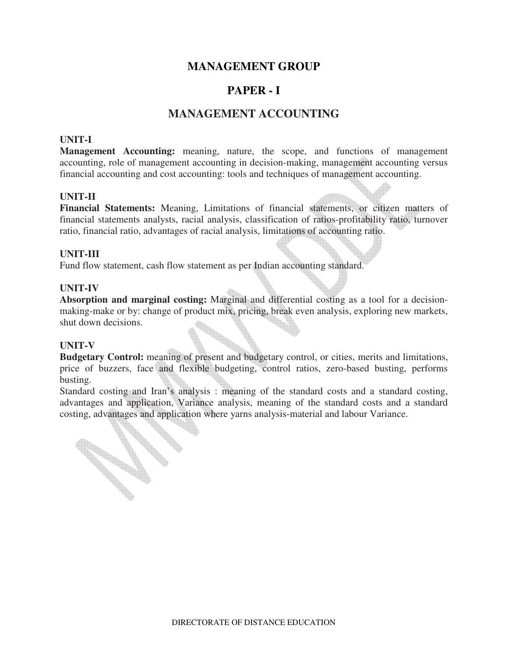## **MANAGEMENT GROUP**

## **PAPER - I**

## **MANAGEMENT ACCOUNTING**

## **UNIT-I**

**Management Accounting:** meaning, nature, the scope, and functions of management accounting, role of management accounting in decision-making, management accounting versus financial accounting and cost accounting: tools and techniques of management accounting.

### **UNIT-II**

**Financial Statements:** Meaning, Limitations of financial statements, or citizen matters of financial statements analysts, racial analysis, classification of ratios-profitability ratio, turnover ratio, financial ratio, advantages of racial analysis, limitations of accounting ratio.

### **UNIT-III**

Fund flow statement, cash flow statement as per Indian accounting standard.

### **UNIT-IV**

**Absorption and marginal costing:** Marginal and differential costing as a tool for a decisionmaking-make or by: change of product mix, pricing, break even analysis, exploring new markets, shut down decisions.

#### **UNIT-V**

**CONTRACTOR** 

**Contract Contract Contract Contract Contract Contract Contract Contract Contract Contract Contract Contract C** 

**Budgetary Control:** meaning of present and budgetary control, or cities, merits and limitations, price of buzzers, face and flexible budgeting, control ratios, zero-based busting, performs busting.

Standard costing and Iran's analysis : meaning of the standard costs and a standard costing, advantages and application, Variance analysis, meaning of the standard costs and a standard costing, advantages and application where yarns analysis-material and labour Variance.

DIRECTORATE OF DISTANCE EDUCATION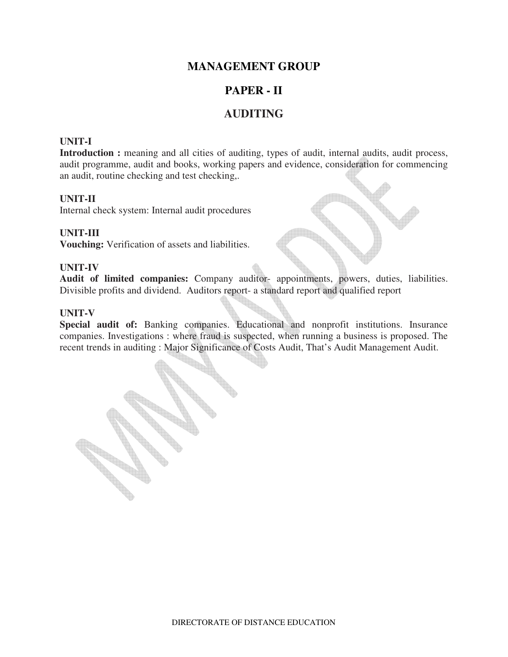## **MANAGEMENT GROUP**

## **PAPER - II**

## **AUDITING**

## **UNIT-I**

Introduction : meaning and all cities of auditing, types of audit, internal audits, audit process, audit programme, audit and books, working papers and evidence, consideration for commencing an audit, routine checking and test checking,.

### **UNIT-II**

Internal check system: Internal audit procedures

## **UNIT-III**

**Vouching:** Verification of assets and liabilities.

#### **UNIT-IV**

**Audit of limited companies:** Company auditor- appointments, powers, duties, liabilities. Divisible profits and dividend. Auditors report- a standard report and qualified report

#### **UNIT-V**

**Special audit of:** Banking companies. Educational and nonprofit institutions. Insurance companies. Investigations : where fraud is suspected, when running a business is proposed. The recent trends in auditing : Major Significance of Costs Audit, That's Audit Management Audit.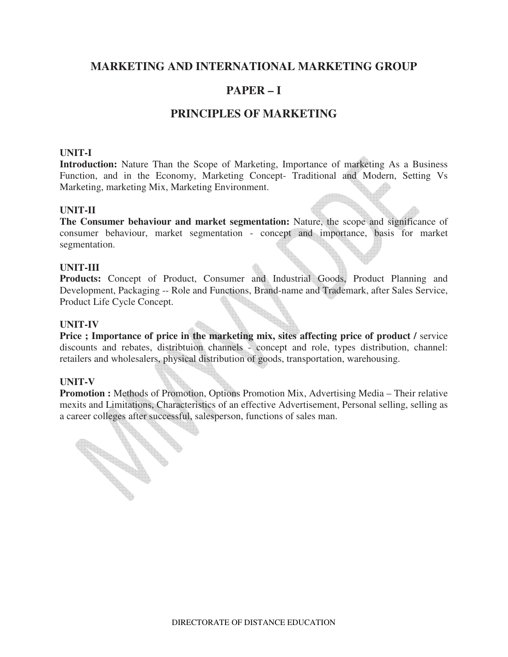## **MARKETING AND INTERNATIONAL MARKETING GROUP**

## **PAPER – I**

## **PRINCIPLES OF MARKETING**

## **UNIT-I**

**Introduction:** Nature Than the Scope of Marketing, Importance of marketing As a Business Function, and in the Economy, Marketing Concept- Traditional and Modern, Setting Vs Marketing, marketing Mix, Marketing Environment.

### **UNIT-II**

**The Consumer behaviour and market segmentation:** Nature, the scope and significance of consumer behaviour, market segmentation - concept and importance, basis for market segmentation.

### **UNIT-III**

Products: Concept of Product, Consumer and Industrial Goods, Product Planning and Development, Packaging -- Role and Functions, Brand-name and Trademark, after Sales Service, Product Life Cycle Concept.

### **UNIT-IV**

**Price ; Importance of price in the marketing mix, sites affecting price of product / service** discounts and rebates, distribtuion channels - concept and role, types distribution, channel: retailers and wholesalers, physical distribution of goods, transportation, warehousing.

## **UNIT-V**

**Contract Contract Contract Contract Contract Contract Contract Contract Contract Contract Contract Contract C** 

**Promotion :** Methods of Promotion, Options Promotion Mix, Advertising Media – Their relative mexits and Limitations, Characteristics of an effective Advertisement, Personal selling, selling as a career colleges after successful, salesperson, functions of sales man.